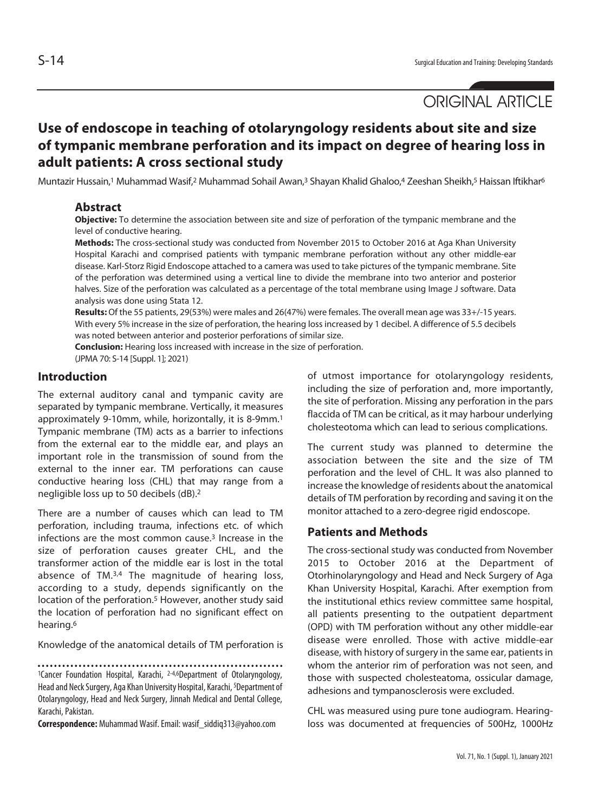# ORIGINAL ARTICLE

## **Use of endoscope in teaching of otolaryngology residents about site and size of tympanic membrane perforation and its impact on degree of hearing loss in adult patients: A cross sectional study**

Muntazir Hussain,<sup>1</sup> Muhammad Wasif,<sup>2</sup> Muhammad Sohail Awan,<sup>3</sup> Shayan Khalid Ghaloo,<sup>4</sup> Zeeshan Sheikh,<sup>5</sup> Haissan Iftikhar<sup>6</sup>

#### **Abstract**

**Objective:** To determine the association between site and size of perforation of the tympanic membrane and the level of conductive hearing.

**Methods:** The cross-sectional study was conducted from November 2015 to October 2016 at Aga Khan University Hospital Karachi and comprised patients with tympanic membrane perforation without any other middle-ear disease. Karl-Storz Rigid Endoscope attached to a camera was used to take pictures of the tympanic membrane. Site of the perforation was determined using a vertical line to divide the membrane into two anterior and posterior halves. Size of the perforation was calculated as a percentage of the total membrane using Image J software. Data analysis was done using Stata 12.

**Results:** Of the 55 patients, 29(53%) were males and 26(47%) were females. The overall mean age was 33+/-15 years. With every 5% increase in the size of perforation, the hearing loss increased by 1 decibel. A difference of 5.5 decibels was noted between anterior and posterior perforations of similar size.

**Conclusion:** Hearing loss increased with increase in the size of perforation. (JPMA 70: S-14 [Suppl. 1]; 2021)

#### **Introduction**

The external auditory canal and tympanic cavity are separated by tympanic membrane. Vertically, it measures approximately 9-10mm, while, horizontally, it is 8-9mm.1 Tympanic membrane (TM) acts as a barrier to infections from the external ear to the middle ear, and plays an important role in the transmission of sound from the external to the inner ear. TM perforations can cause conductive hearing loss (CHL) that may range from a negligible loss up to 50 decibels (dB).2

There are a number of causes which can lead to TM perforation, including trauma, infections etc. of which infections are the most common cause. $3$  Increase in the size of perforation causes greater CHL, and the transformer action of the middle ear is lost in the total absence of TM.3,4 The magnitude of hearing loss, according to a study, depends significantly on the location of the perforation.<sup>5</sup> However, another study said the location of perforation had no significant effect on hearing.6

Knowledge of the anatomical details of TM perforation is

<sup>1</sup>Cancer Foundation Hospital, Karachi, <sup>2-4,6</sup>Department of Otolaryngology, Head and Neck Surgery, Aga Khan University Hospital, Karachi, <sup>5</sup>Department of Otolaryngology, Head and Neck Surgery, Jinnah Medical and Dental College, Karachi, Pakistan.

**Correspondence:** Muhammad Wasif. Email: wasif\_siddiq313@yahoo.com

of utmost importance for otolaryngology residents, including the size of perforation and, more importantly, the site of perforation. Missing any perforation in the pars flaccida of TM can be critical, as it may harbour underlying cholesteotoma which can lead to serious complications.

The current study was planned to determine the association between the site and the size of TM perforation and the level of CHL. It was also planned to increase the knowledge of residents about the anatomical details of TM perforation by recording and saving it on the monitor attached to a zero-degree rigid endoscope.

#### **Patients and Methods**

The cross-sectional study was conducted from November 2015 to October 2016 at the Department of Otorhinolaryngology and Head and Neck Surgery of Aga Khan University Hospital, Karachi. After exemption from the institutional ethics review committee same hospital, all patients presenting to the outpatient department (OPD) with TM perforation without any other middle-ear disease were enrolled. Those with active middle-ear disease, with history of surgery in the same ear, patients in whom the anterior rim of perforation was not seen, and those with suspected cholesteatoma, ossicular damage, adhesions and tympanosclerosis were excluded.

CHL was measured using pure tone audiogram. Hearingloss was documented at frequencies of 500Hz, 1000Hz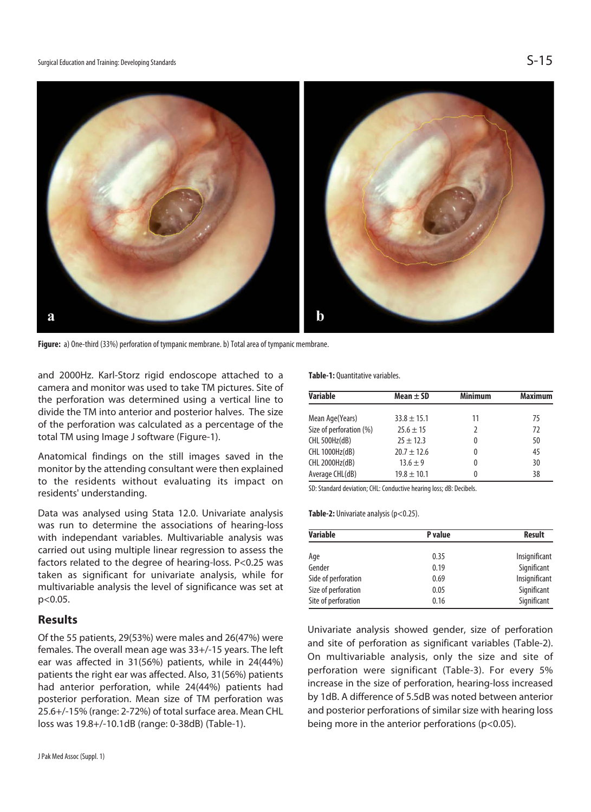

**Figure:** a) One-third (33%) perforation of tympanic membrane. b) Total area of tympanic membrane.

and 2000Hz. Karl-Storz rigid endoscope attached to a camera and monitor was used to take TM pictures. Site of the perforation was determined using a vertical line to divide the TM into anterior and posterior halves. The size of the perforation was calculated as a percentage of the total TM using Image J software (Figure-1).

Anatomical findings on the still images saved in the monitor by the attending consultant were then explained to the residents without evaluating its impact on residents' understanding.

Data was analysed using Stata 12.0. Univariate analysis was run to determine the associations of hearing-loss with independant variables. Multivariable analysis was carried out using multiple linear regression to assess the factors related to the degree of hearing-loss. P<0.25 was taken as significant for univariate analysis, while for multivariable analysis the level of significance was set at p<0.05.

#### **Results**

Of the 55 patients, 29(53%) were males and 26(47%) were females. The overall mean age was 33+/-15 years. The left ear was affected in 31(56%) patients, while in 24(44%) patients the right ear was affected. Also, 31(56%) patients had anterior perforation, while 24(44%) patients had posterior perforation. Mean size of TM perforation was 25.6+/-15% (range: 2-72%) of total surface area. Mean CHL loss was 19.8+/-10.1dB (range: 0-38dB) (Table-1).

**Table-1:** Quantitative variables.

| <b>Variable</b>         | Mean $\pm$ SD   | <b>Minimum</b> | <b>Maximum</b> |
|-------------------------|-----------------|----------------|----------------|
|                         |                 |                |                |
| Mean Age(Years)         | $33.8 \pm 15.1$ | 11             | 75             |
| Size of perforation (%) | $25.6 \pm 15$   |                | 72             |
| CHL 500Hz(dB)           | $25 + 12.3$     | 0              | 50             |
| CHL 1000Hz(dB)          | $20.7 \pm 12.6$ | 0              | 45             |
| CHL 2000Hz(dB)          | $13.6 \pm 9$    | 0              | 30             |
| Average CHL(dB)         | $19.8 \pm 10.1$ |                | 38             |

SD: Standard deviation; CHL: Conductive hearing loss; dB: Decibels.

Table-2: Univariate analysis (p<0.25).

| <b>Variable</b>     | P value | <b>Result</b> |
|---------------------|---------|---------------|
| Age                 | 0.35    | Insignificant |
| Gender              | 0.19    | Significant   |
| Side of perforation | 0.69    | Insignificant |
| Size of perforation | 0.05    | Significant   |
| Site of perforation | 0.16    | Significant   |

Univariate analysis showed gender, size of perforation and site of perforation as significant variables (Table-2). On multivariable analysis, only the size and site of perforation were significant (Table-3). For every 5% increase in the size of perforation, hearing-loss increased by 1dB. A difference of 5.5dB was noted between anterior and posterior perforations of similar size with hearing loss being more in the anterior perforations (p<0.05).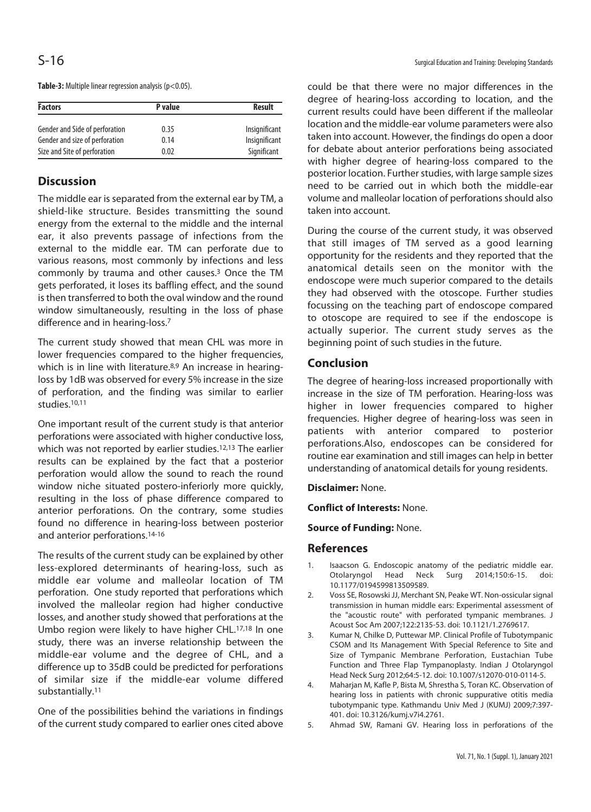| <b>Factors</b>                 | P value | <b>Result</b> |
|--------------------------------|---------|---------------|
| Gender and Side of perforation | 0.35    | Insignificant |
| Gender and size of perforation | 0.14    | Insignificant |
| Size and Site of perforation   | 0.02    | Significant   |

**Table-3:** Multiple linear regression analysis (p<0.05).

### **Discussion**

The middle ear is separated from the external ear by TM, a shield-like structure. Besides transmitting the sound energy from the external to the middle and the internal ear, it also prevents passage of infections from the external to the middle ear. TM can perforate due to various reasons, most commonly by infections and less commonly by trauma and other causes.3 Once the TM gets perforated, it loses its baffling effect, and the sound is then transferred to both the oval window and the round window simultaneously, resulting in the loss of phase difference and in hearing-loss.7

The current study showed that mean CHL was more in lower frequencies compared to the higher frequencies, which is in line with literature.<sup>8,9</sup> An increase in hearingloss by 1dB was observed for every 5% increase in the size of perforation, and the finding was similar to earlier studies.10,11

One important result of the current study is that anterior perforations were associated with higher conductive loss, which was not reported by earlier studies.<sup>12,13</sup> The earlier results can be explained by the fact that a posterior perforation would allow the sound to reach the round window niche situated postero-inferiorly more quickly, resulting in the loss of phase difference compared to anterior perforations. On the contrary, some studies found no difference in hearing-loss between posterior and anterior perforations.14-16

The results of the current study can be explained by other less-explored determinants of hearing-loss, such as middle ear volume and malleolar location of TM perforation. One study reported that perforations which involved the malleolar region had higher conductive losses, and another study showed that perforations at the Umbo region were likely to have higher CHL.17,18 In one study, there was an inverse relationship between the middle-ear volume and the degree of CHL, and a difference up to 35dB could be predicted for perforations of similar size if the middle-ear volume differed substantially.11

One of the possibilities behind the variations in findings of the current study compared to earlier ones cited above could be that there were no major differences in the degree of hearing-loss according to location, and the current results could have been different if the malleolar location and the middle-ear volume parameters were also taken into account. However, the findings do open a door for debate about anterior perforations being associated with higher degree of hearing-loss compared to the posterior location. Further studies, with large sample sizes need to be carried out in which both the middle-ear volume and malleolar location of perforations should also taken into account.

During the course of the current study, it was observed that still images of TM served as a good learning opportunity for the residents and they reported that the anatomical details seen on the monitor with the endoscope were much superior compared to the details they had observed with the otoscope. Further studies focussing on the teaching part of endoscope compared to otoscope are required to see if the endoscope is actually superior. The current study serves as the beginning point of such studies in the future.

### **Conclusion**

The degree of hearing-loss increased proportionally with increase in the size of TM perforation. Hearing-loss was higher in lower frequencies compared to higher frequencies. Higher degree of hearing-loss was seen in patients with anterior compared to posterior perforations.Also, endoscopes can be considered for routine ear examination and still images can help in better understanding of anatomical details for young residents.

**Disclaimer:** None.

**Conflict of Interests:** None.

**Source of Funding:** None.

#### **References**

- 1. Isaacson G. Endoscopic anatomy of the pediatric middle ear. Otolaryngol Head Neck Surg 2014;150:6-15. doi: 10.1177/0194599813509589.
- 2. Voss SE, Rosowski JJ, Merchant SN, Peake WT. Non-ossicular signal transmission in human middle ears: Experimental assessment of the "acoustic route" with perforated tympanic membranes. J Acoust Soc Am 2007;122:2135-53. doi: 10.1121/1.2769617.
- 3. Kumar N, Chilke D, Puttewar MP. Clinical Profile of Tubotympanic CSOM and Its Management With Special Reference to Site and Size of Tympanic Membrane Perforation, Eustachian Tube Function and Three Flap Tympanoplasty. Indian J Otolaryngol Head Neck Surg 2012;64:5-12. doi: 10.1007/s12070-010-0114-5.
- 4. Maharjan M, Kafle P, Bista M, Shrestha S, Toran KC. Observation of hearing loss in patients with chronic suppurative otitis media tubotympanic type. Kathmandu Univ Med J (KUMJ) 2009;7:397- 401. doi: 10.3126/kumj.v7i4.2761.
- 5. Ahmad SW, Ramani GV. Hearing loss in perforations of the